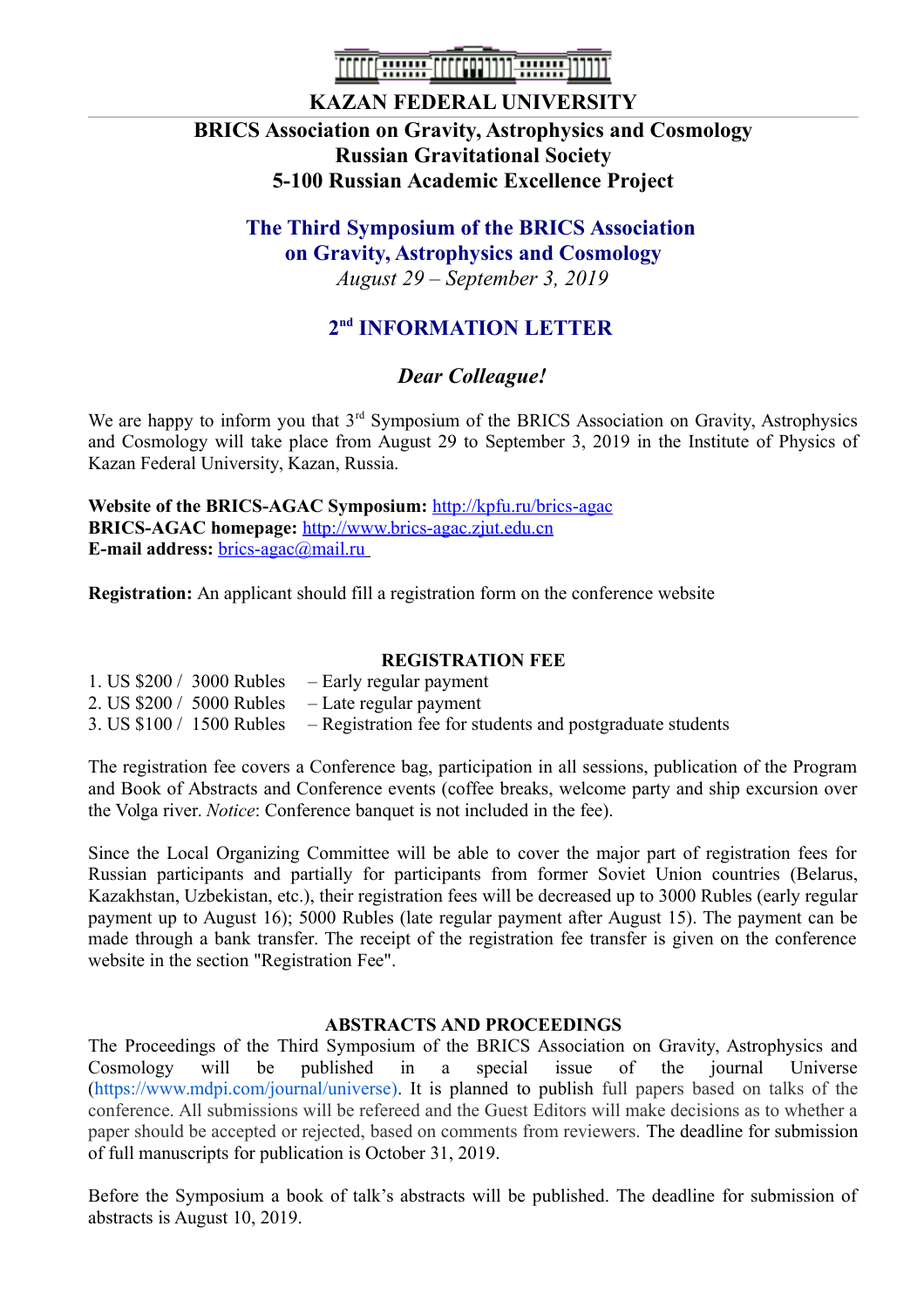

### **KAZAN FEDERAL UNIVERSITY**

### **BRICS Association on Gravity, Astrophysics and Cosmology Russian Gravitational Society 5-100 Russian Academic Excellence Project**

# **The Third Symposium of the BRICS Association on Gravity, Astrophysics and Cosmology**

*August 29 – September 3, 2019*

## **2 nd INFORMATION LETTER**

### *Dear Colleague!*

We are happy to inform you that  $3<sup>rd</sup>$  Symposium of the BRICS Association on Gravity, Astrophysics and Cosmology will take place from August 29 to September 3, 2019 in the Institute of Physics of Kazan Federal University, Kazan, Russia.

**Website of the BRICS-AGAC Symposium:** <http://kpfu.ru/brics-agac> **BRICS-AGAC homepage:** [http://www.brics-agac.zjut.edu.cn](http://www.brics-agac.zjut.edu.cn/) **E-mail address:** [brics-agac@mail.ru](mailto:brics-agac@mail.ru)

**Registration:** An applicant should fill a registration form on the conference website

#### **REGISTRATION FEE**

- 1. US \$200 / 3000 Rubles Early regular payment
- 2. US  $$200 / 5000$  Rubles Late regular payment
- 3. US \$100 / 1500 Rubles Registration fee for students and postgraduate students

The registration fee covers a Conference bag, participation in all sessions, publication of the Program and Book of Abstracts and Conference events (coffee breaks, welcome party and ship excursion over the Volga river. *Notice*: Conference banquet is not included in the fee).

Since the Local Organizing Committee will be able to cover the major part of registration fees for Russian participants and partially for participants from former Soviet Union countries (Belarus, Kazakhstan, Uzbekistan, etc.), their registration fees will be decreased up to 3000 Rubles (early regular payment up to August 16); 5000 Rubles (late regular payment after August 15). The payment can be made through a bank transfer. The receipt of the registration fee transfer is given on the conference website in the section "Registration Fee".

#### **ABSTRACTS AND PROCEEDINGS**

The Proceedings of the Third Symposium of the BRICS Association on Gravity, Astrophysics and Cosmology will be published in a special issue of the journal Universe [\(https://www.mdpi.com/journal/universe\)](https://www.mdpi.com/journal/universe). It is planned to publish full papers based on talks of the conference. All submissions will be refereed and the Guest Editors will make decisions as to whether a paper should be accepted or rejected, based on comments from reviewers. The deadline for submission of full manuscripts for publication is October 31, 2019.

Before the Symposium a book of talk's abstracts will be published. The deadline for submission of abstracts is August 10, 2019.